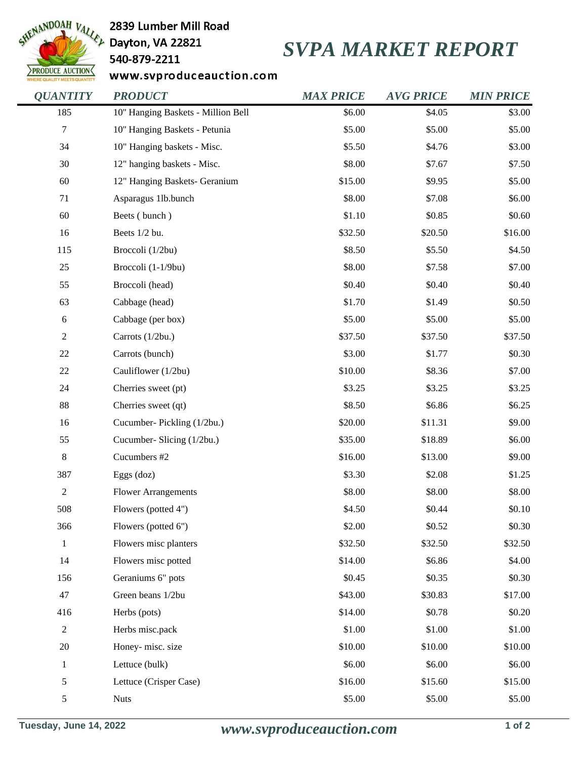

2839 Lumber Mill Road

## 540-879-2211

## *SVPA MARKET REPORT*

www.svproduceauction.com

| <b>QUANTITY</b> | <b>PRODUCT</b>                     | <b>MAX PRICE</b> | <b>AVG PRICE</b> | <b>MIN PRICE</b> |
|-----------------|------------------------------------|------------------|------------------|------------------|
| 185             | 10" Hanging Baskets - Million Bell | \$6.00           | \$4.05           | \$3.00           |
| 7               | 10" Hanging Baskets - Petunia      | \$5.00           | \$5.00           | \$5.00           |
| 34              | 10" Hanging baskets - Misc.        | \$5.50           | \$4.76           | \$3.00           |
| 30              | 12" hanging baskets - Misc.        | \$8.00           | \$7.67           | \$7.50           |
| 60              | 12" Hanging Baskets- Geranium      | \$15.00          | \$9.95           | \$5.00           |
| 71              | Asparagus 1lb.bunch                | \$8.00           | \$7.08           | \$6.00           |
| 60              | Beets (bunch)                      | \$1.10           | \$0.85           | \$0.60           |
| 16              | Beets 1/2 bu.                      | \$32.50          | \$20.50          | \$16.00          |
| 115             | Broccoli (1/2bu)                   | \$8.50           | \$5.50           | \$4.50           |
| 25              | Broccoli (1-1/9bu)                 | \$8.00           | \$7.58           | \$7.00           |
| 55              | Broccoli (head)                    | \$0.40           | \$0.40           | \$0.40           |
| 63              | Cabbage (head)                     | \$1.70           | \$1.49           | \$0.50           |
| $\sqrt{6}$      | Cabbage (per box)                  | \$5.00           | \$5.00           | \$5.00           |
| $\overline{c}$  | Carrots (1/2bu.)                   | \$37.50          | \$37.50          | \$37.50          |
| $22\,$          | Carrots (bunch)                    | \$3.00           | \$1.77           | \$0.30           |
| $22\,$          | Cauliflower (1/2bu)                | \$10.00          | \$8.36           | \$7.00           |
| 24              | Cherries sweet (pt)                | \$3.25           | \$3.25           | \$3.25           |
| 88              | Cherries sweet (qt)                | \$8.50           | \$6.86           | \$6.25           |
| 16              | Cucumber-Pickling (1/2bu.)         | \$20.00          | \$11.31          | \$9.00           |
| 55              | Cucumber- Slicing (1/2bu.)         | \$35.00          | \$18.89          | \$6.00           |
| $8\,$           | Cucumbers #2                       | \$16.00          | \$13.00          | \$9.00           |
| 387             | Eggs $(doz)$                       | \$3.30           | \$2.08           | \$1.25           |
| $\overline{c}$  | <b>Flower Arrangements</b>         | \$8.00           | \$8.00           | \$8.00           |
| 508             | Flowers (potted 4")                | \$4.50           | \$0.44           | \$0.10           |
| 366             | Flowers (potted 6")                | \$2.00           | \$0.52           | \$0.30           |
| $\mathbf 1$     | Flowers misc planters              | \$32.50          | \$32.50          | \$32.50          |
| 14              | Flowers misc potted                | \$14.00          | \$6.86           | \$4.00           |
| 156             | Geraniums 6" pots                  | \$0.45           | \$0.35           | \$0.30           |
| 47              | Green beans 1/2bu                  | \$43.00          | \$30.83          | \$17.00          |
| 416             | Herbs (pots)                       | \$14.00          | \$0.78           | \$0.20           |
| $\mathbf{2}$    | Herbs misc.pack                    | \$1.00           | \$1.00           | \$1.00           |
| 20              | Honey-misc. size                   | \$10.00          | \$10.00          | \$10.00          |
| $\mathbf{1}$    | Lettuce (bulk)                     | \$6.00           | \$6.00           | \$6.00           |
| 5               | Lettuce (Crisper Case)             | \$16.00          | \$15.60          | \$15.00          |
| 5               | <b>Nuts</b>                        | \$5.00           | \$5.00           | \$5.00           |
|                 |                                    |                  |                  |                  |